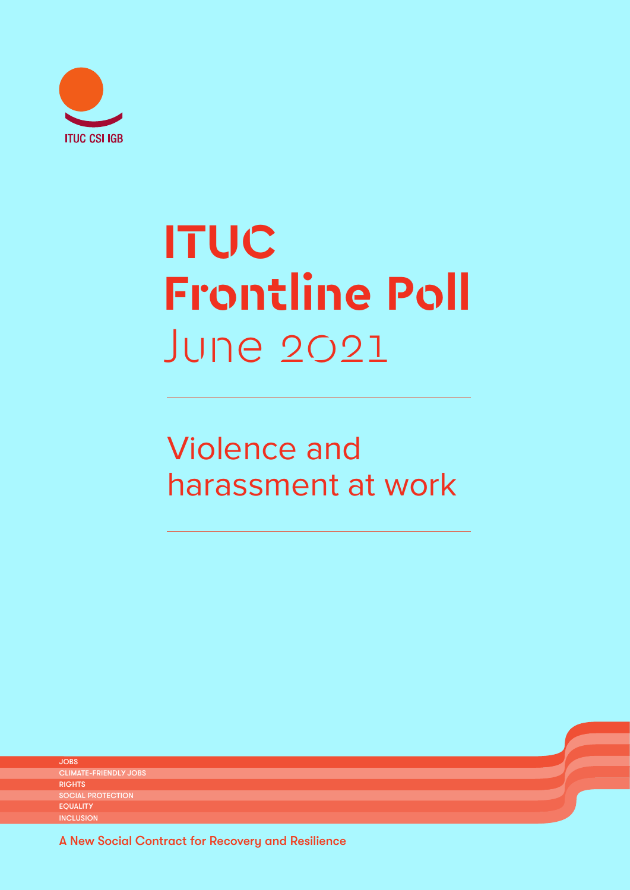

# **ITUC Frontline Poll**  June 2021

## Violence and harassment at work

JOBS CLIMATE-FRIENDLY SOCIAL PROTECTION EQUALITY **INCLUSION RIGHTS** 

A New Social Contract for Recovery and Resilience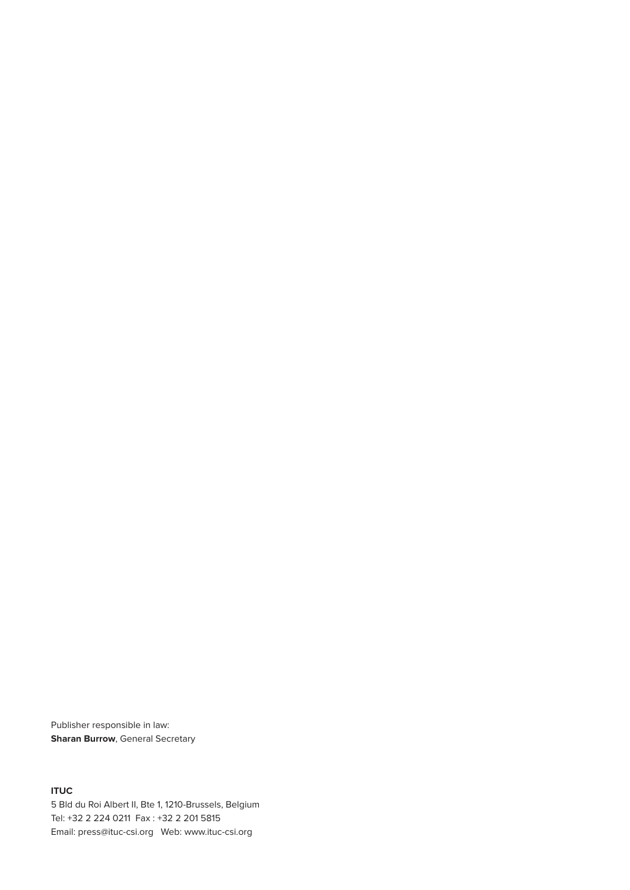Publisher responsible in law: **Sharan Burrow**, General Secretary

**ITUC** 5 Bld du Roi Albert II, Bte 1, 1210-Brussels, Belgium Tel: +32 2 224 0211 Fax : +32 2 201 5815 Email: press@ituc-csi.org Web: www.ituc-csi.org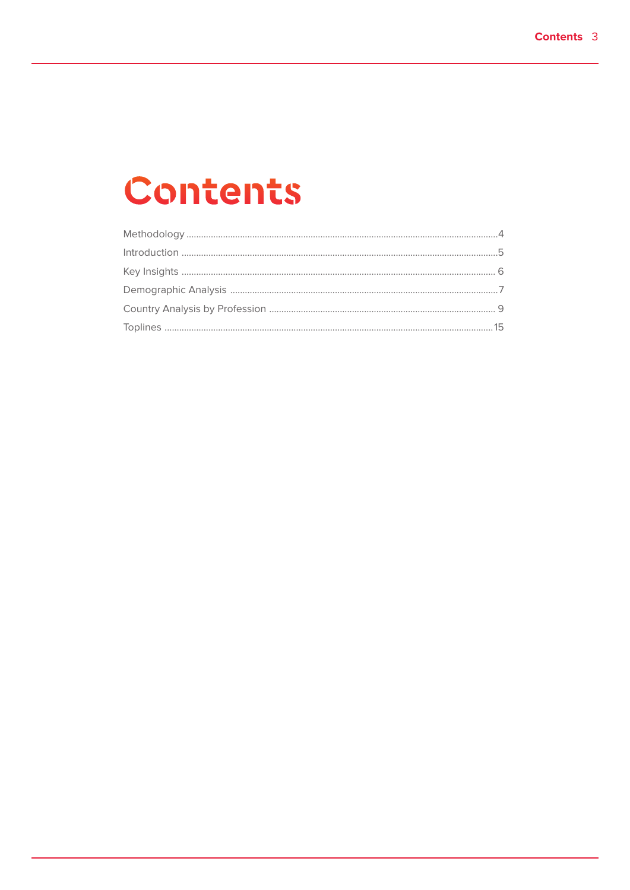## Contents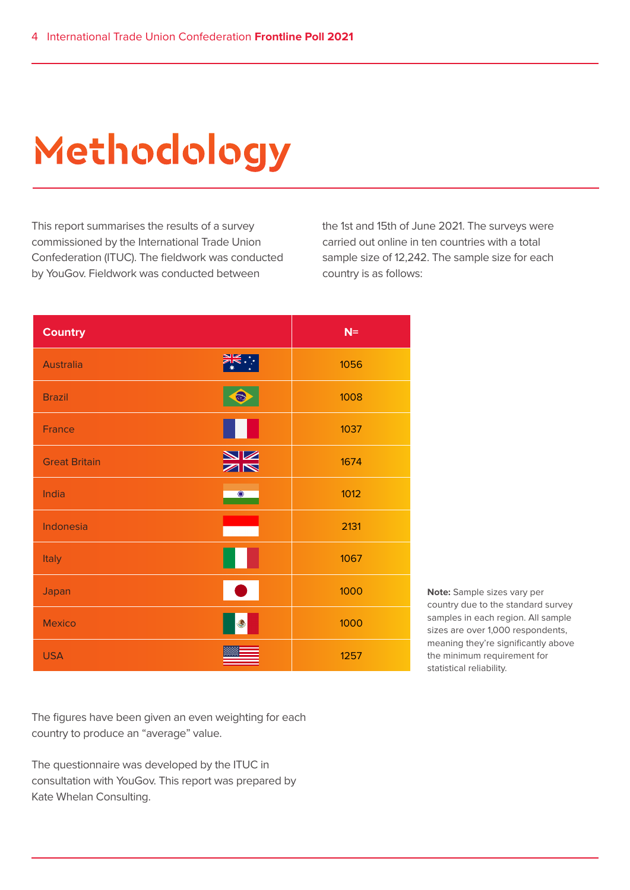# **Methodology**

This report summarises the results of a survey commissioned by the International Trade Union Confederation (ITUC). The fieldwork was conducted by YouGov. Fieldwork was conducted between

the 1st and 15th of June 2021. The surveys were carried out online in ten countries with a total sample size of 12,242. The sample size for each country is as follows:

| <b>Country</b>       | $N=$              |
|----------------------|-------------------|
| <b>Australia</b>     | 1056              |
| <b>Brazil</b>        | 1008              |
| France               | 1037              |
| <b>Great Britain</b> | <b>NK</b><br>1674 |
| India                | 1012<br>$\bullet$ |
| Indonesia            | 2131              |
| Italy                | 1067              |
| Japan                | 1000              |
| <b>Mexico</b>        | 1000              |
| <b>USA</b>           | 1257              |

**Note:** Sample sizes vary per country due to the standard survey samples in each region. All sample sizes are over 1,000 respondents, meaning they're significantly above the minimum requirement for statistical reliability.

The figures have been given an even weighting for each country to produce an "average" value.

The questionnaire was developed by the ITUC in consultation with YouGov. This report was prepared by Kate Whelan Consulting.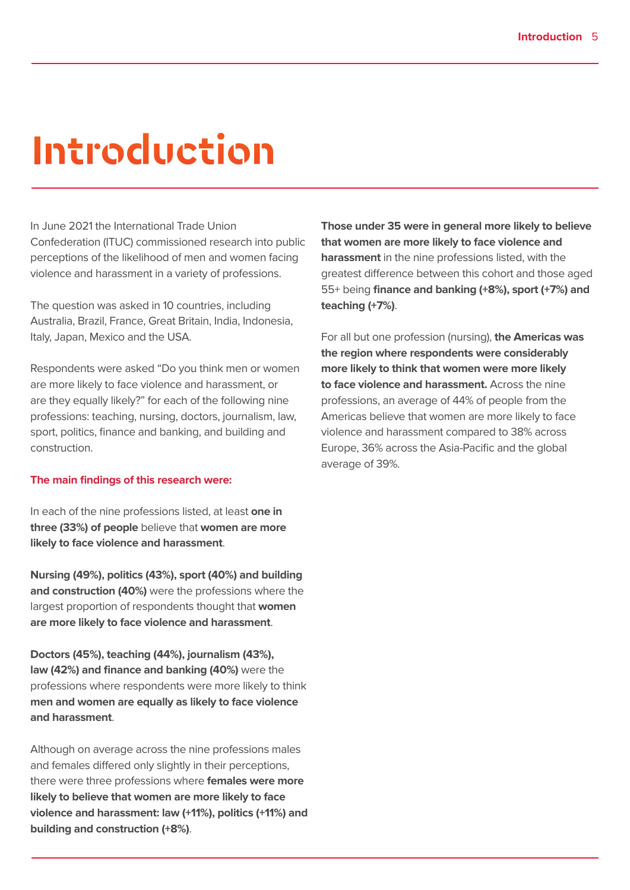## **Introduction**

In June 2021 the International Trade Union Confederation (ITUC) commissioned research into public perceptions of the likelihood of men and women facing violence and harassment in a variety of professions.

The question was asked in 10 countries, including Australia, Brazil, France, Great Britain, India, Indonesia, Italy, Japan, Mexico and the USA.

Respondents were asked "Do you think men or women are more likely to face violence and harassment, or are they equally likely?" for each of the following nine professions: teaching, nursing, doctors, journalism, law, sport, politics, finance and banking, and building and construction.

#### **The main findings of this research were:**

In each of the nine professions listed, at least **one in three (33%) of people** believe that **women are more likely to face violence and harassment**.

**Nursing (49%), politics (43%), sport (40%) and building and construction (40%)** were the professions where the largest proportion of respondents thought that **women are more likely to face violence and harassment**.

**Doctors (45%), teaching (44%), journalism (43%), law (42%) and finance and banking (40%)** were the professions where respondents were more likely to think **men and women are equally as likely to face violence and harassment**.

Although on average across the nine professions males and females differed only slightly in their perceptions, there were three professions where **females were more likely to believe that women are more likely to face violence and harassment: law (+11%), politics (+11%) and building and construction (+8%)**.

**Those under 35 were in general more likely to believe that women are more likely to face violence and harassment** in the nine professions listed, with the greatest difference between this cohort and those aged 55+ being **finance and banking (+8%), sport (+7%) and teaching (+7%)**.

For all but one profession (nursing), **the Americas was the region where respondents were considerably more likely to think that women were more likely to face violence and harassment.** Across the nine professions, an average of 44% of people from the Americas believe that women are more likely to face violence and harassment compared to 38% across Europe, 36% across the Asia-Pacific and the global average of 39%.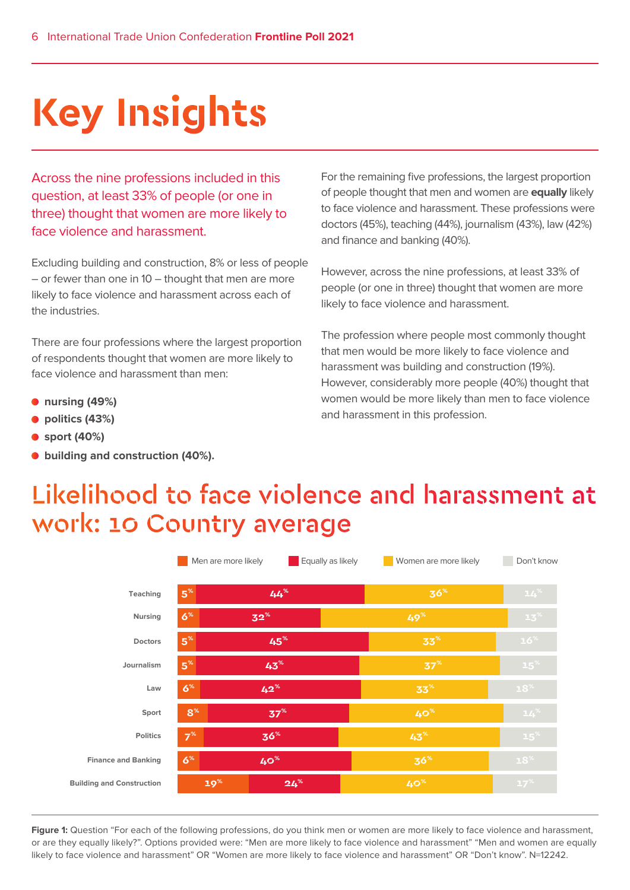# **Key Insights**

Across the nine professions included in this question, at least 33% of people (or one in three) thought that women are more likely to face violence and harassment.

Excluding building and construction, 8% or less of people – or fewer than one in 10 – thought that men are more likely to face violence and harassment across each of the industries.

There are four professions where the largest proportion of respondents thought that women are more likely to face violence and harassment than men:

- **nursing (49%)**
- politics (43%)

**Buil** 

- **sport (40%)**
- **building and construction (40%).**

For the remaining five professions, the largest proportion of people thought that men and women are **equally** likely to face violence and harassment. These professions were doctors (45%), teaching (44%), journalism (43%), law (42%) and finance and banking (40%).

However, across the nine professions, at least 33% of people (or one in three) thought that women are more likely to face violence and harassment.

The profession where people most commonly thought that men would be more likely to face violence and harassment was building and construction (19%). However, considerably more people (40%) thought that women would be more likely than men to face violence and harassment in this profession.

### Likelihood to face violence and harassment at work: 10 Country average

|                            | Men are more likely |                 | Equally as likely | Women are more likely | Don't know      |
|----------------------------|---------------------|-----------------|-------------------|-----------------------|-----------------|
| Teaching                   | 5 <sup>%</sup>      | $44^\circ$      |                   | 36 <sup>%</sup>       | $14^{\%}$       |
| <b>Nursing</b>             | 6 <sup>%</sup>      | $32^{\%}$       |                   | $4.9\%$               | 13 <sup>%</sup> |
| <b>Doctors</b>             | 5 <sup>%</sup>      | 45%             |                   | $33^{\%}$             | 16 <sup>%</sup> |
| Journalism                 | 5 <sup>%</sup>      | $43^{\%}$       |                   | 37 <sup>%</sup>       | 15 <sup>%</sup> |
| Law                        | 6 <sup>%</sup>      | $42^{\%}$       |                   | 33 <sup>%</sup>       | $18^{\%}$       |
| Sport                      | 8 <sup>%</sup>      | 37 <sup>%</sup> |                   | $40%$                 | $14^{\%}$       |
| <b>Politics</b>            | 7 <sup>%</sup>      | 36 <sup>%</sup> |                   | $43^{\%}$             | 15 <sup>%</sup> |
| <b>Finance and Banking</b> | 6 <sup>%</sup>      | 40 <sup>%</sup> |                   | 36 <sup>%</sup>       | 18 <sup>%</sup> |
| ding and Construction      | 19 <sup>%</sup>     | $24%$           |                   | 40 <sup>%</sup>       | $17^{\%}$       |

Figure 1: Question "For each of the following professions, do you think men or women are more likely to face violence and harassment, or are they equally likely?". Options provided were: "Men are more likely to face violence and harassment" "Men and women are equally likely to face violence and harassment" OR "Women are more likely to face violence and harassment" OR "Don't know". N=12242.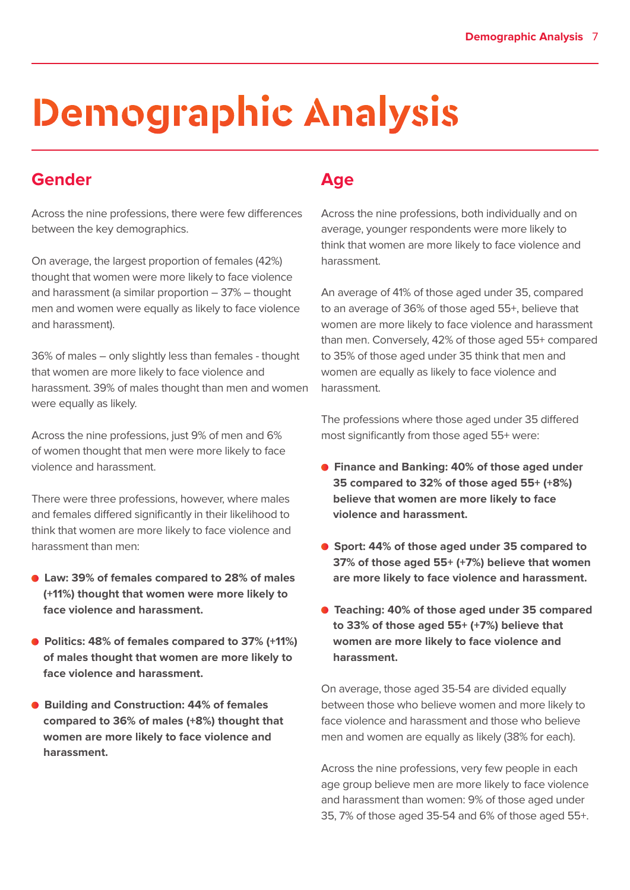# **Demographic Analysis**

#### **Gender**

Across the nine professions, there were few differences between the key demographics.

On average, the largest proportion of females (42%) thought that women were more likely to face violence and harassment (a similar proportion – 37% – thought men and women were equally as likely to face violence and harassment).

36% of males – only slightly less than females - thought that women are more likely to face violence and harassment. 39% of males thought than men and women were equally as likely.

Across the nine professions, just 9% of men and 6% of women thought that men were more likely to face violence and harassment.

There were three professions, however, where males and females differed significantly in their likelihood to think that women are more likely to face violence and harassment than men:

- **Law: 39% of females compared to 28% of males (+11%) thought that women were more likely to face violence and harassment.**
- **Politics: 48% of females compared to 37% (+11%) of males thought that women are more likely to face violence and harassment.**
- **Building and Construction: 44% of females compared to 36% of males (+8%) thought that women are more likely to face violence and harassment.**

#### **Age**

Across the nine professions, both individually and on average, younger respondents were more likely to think that women are more likely to face violence and harassment.

An average of 41% of those aged under 35, compared to an average of 36% of those aged 55+, believe that women are more likely to face violence and harassment than men. Conversely, 42% of those aged 55+ compared to 35% of those aged under 35 think that men and women are equally as likely to face violence and harassment.

The professions where those aged under 35 differed most significantly from those aged 55+ were:

- **Finance and Banking: 40% of those aged under 35 compared to 32% of those aged 55+ (+8%) believe that women are more likely to face violence and harassment.**
- **Sport: 44% of those aged under 35 compared to 37% of those aged 55+ (+7%) believe that women are more likely to face violence and harassment.**
- **Teaching: 40% of those aged under 35 compared to 33% of those aged 55+ (+7%) believe that women are more likely to face violence and harassment.**

On average, those aged 35-54 are divided equally between those who believe women and more likely to face violence and harassment and those who believe men and women are equally as likely (38% for each).

Across the nine professions, very few people in each age group believe men are more likely to face violence and harassment than women: 9% of those aged under 35, 7% of those aged 35-54 and 6% of those aged 55+.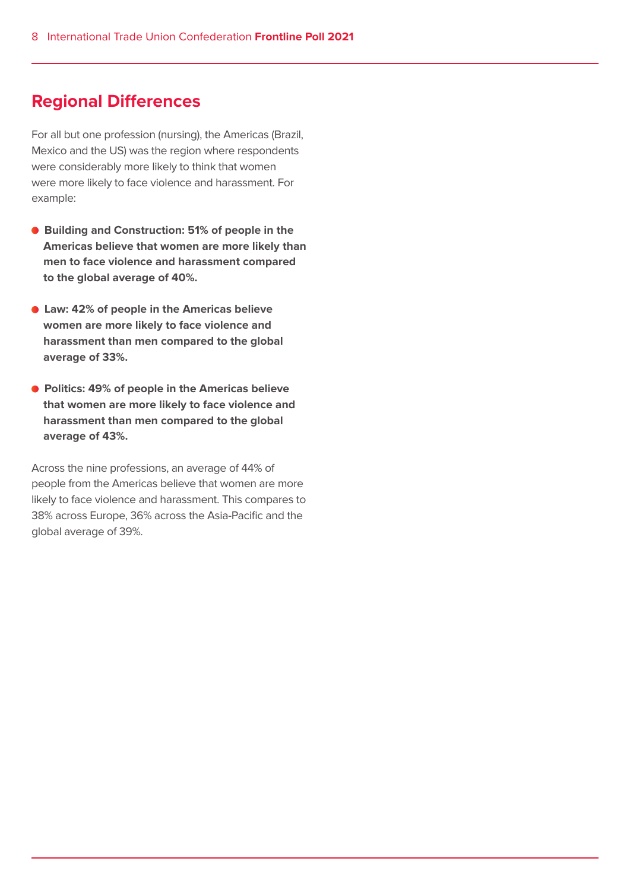#### **Regional Differences**

For all but one profession (nursing), the Americas (Brazil, Mexico and the US) was the region where respondents were considerably more likely to think that women were more likely to face violence and harassment. For example:

- **Building and Construction: 51% of people in the Americas believe that women are more likely than men to face violence and harassment compared to the global average of 40%.**
- **Law: 42% of people in the Americas believe women are more likely to face violence and harassment than men compared to the global average of 33%.**
- **Politics: 49% of people in the Americas believe that women are more likely to face violence and harassment than men compared to the global average of 43%.**

Across the nine professions, an average of 44% of people from the Americas believe that women are more likely to face violence and harassment. This compares to 38% across Europe, 36% across the Asia-Pacific and the global average of 39%.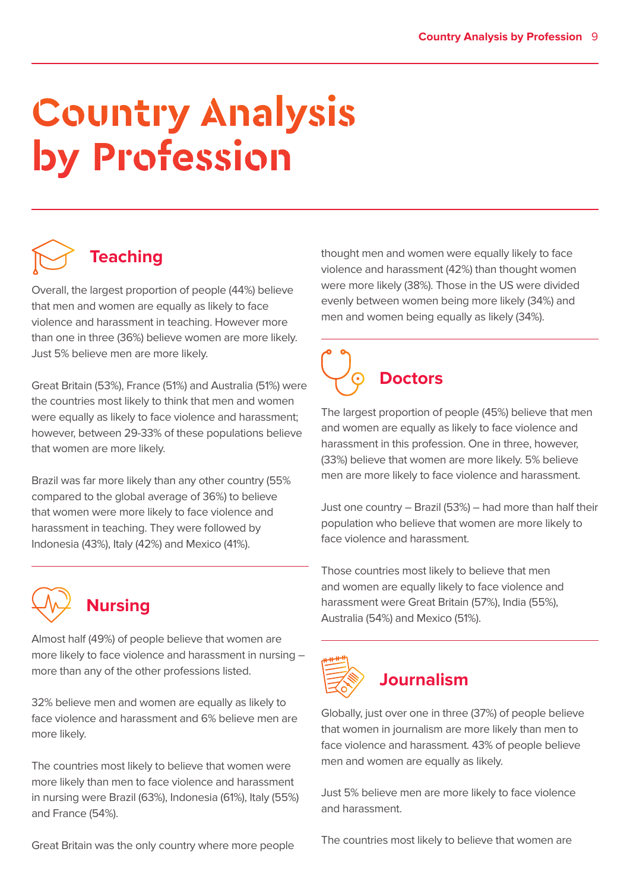# **Country Analysis by Profession**

## **Teaching**

Overall, the largest proportion of people (44%) believe that men and women are equally as likely to face violence and harassment in teaching. However more than one in three (36%) believe women are more likely. Just 5% believe men are more likely.

Great Britain (53%), France (51%) and Australia (51%) were the countries most likely to think that men and women were equally as likely to face violence and harassment; however, between 29-33% of these populations believe that women are more likely.

Brazil was far more likely than any other country (55% compared to the global average of 36%) to believe that women were more likely to face violence and harassment in teaching. They were followed by Indonesia (43%), Italy (42%) and Mexico (41%).



### **Nursing**

Almost half (49%) of people believe that women are more likely to face violence and harassment in nursing – more than any of the other professions listed.

32% believe men and women are equally as likely to face violence and harassment and 6% believe men are more likely.

The countries most likely to believe that women were more likely than men to face violence and harassment in nursing were Brazil (63%), Indonesia (61%), Italy (55%) and France (54%).

Great Britain was the only country where more people

thought men and women were equally likely to face violence and harassment (42%) than thought women were more likely (38%). Those in the US were divided evenly between women being more likely (34%) and men and women being equally as likely (34%).



The largest proportion of people (45%) believe that men and women are equally as likely to face violence and harassment in this profession. One in three, however, (33%) believe that women are more likely. 5% believe men are more likely to face violence and harassment.

Just one country – Brazil (53%) – had more than half their population who believe that women are more likely to face violence and harassment.

Those countries most likely to believe that men and women are equally likely to face violence and harassment were Great Britain (57%), India (55%), Australia (54%) and Mexico (51%).



### **Journalism**

Globally, just over one in three (37%) of people believe that women in journalism are more likely than men to face violence and harassment. 43% of people believe men and women are equally as likely.

Just 5% believe men are more likely to face violence and harassment.

The countries most likely to believe that women are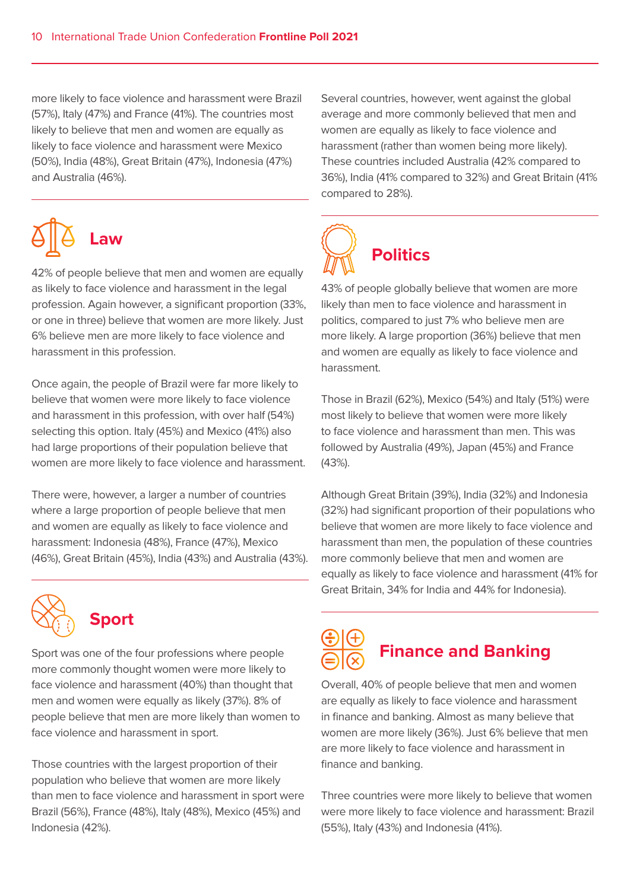more likely to face violence and harassment were Brazil (57%), Italy (47%) and France (41%). The countries most likely to believe that men and women are equally as likely to face violence and harassment were Mexico (50%), India (48%), Great Britain (47%), Indonesia (47%) and Australia (46%).



42% of people believe that men and women are equally as likely to face violence and harassment in the legal profession. Again however, a significant proportion (33%, or one in three) believe that women are more likely. Just 6% believe men are more likely to face violence and harassment in this profession.

Once again, the people of Brazil were far more likely to believe that women were more likely to face violence and harassment in this profession, with over half (54%) selecting this option. Italy (45%) and Mexico (41%) also had large proportions of their population believe that women are more likely to face violence and harassment.

There were, however, a larger a number of countries where a large proportion of people believe that men and women are equally as likely to face violence and harassment: Indonesia (48%), France (47%), Mexico (46%), Great Britain (45%), India (43%) and Australia (43%).



**Sport**

Sport was one of the four professions where people more commonly thought women were more likely to face violence and harassment (40%) than thought that men and women were equally as likely (37%). 8% of people believe that men are more likely than women to face violence and harassment in sport.

Those countries with the largest proportion of their population who believe that women are more likely than men to face violence and harassment in sport were Brazil (56%), France (48%), Italy (48%), Mexico (45%) and Indonesia (42%).

Several countries, however, went against the global average and more commonly believed that men and women are equally as likely to face violence and harassment (rather than women being more likely). These countries included Australia (42% compared to 36%), India (41% compared to 32%) and Great Britain (41% compared to 28%).



43% of people globally believe that women are more likely than men to face violence and harassment in politics, compared to just 7% who believe men are more likely. A large proportion (36%) believe that men and women are equally as likely to face violence and harassment.

Those in Brazil (62%), Mexico (54%) and Italy (51%) were most likely to believe that women were more likely to face violence and harassment than men. This was followed by Australia (49%), Japan (45%) and France (43%).

Although Great Britain (39%), India (32%) and Indonesia (32%) had significant proportion of their populations who believe that women are more likely to face violence and harassment than men, the population of these countries more commonly believe that men and women are equally as likely to face violence and harassment (41% for Great Britain, 34% for India and 44% for Indonesia).

## **Finance and Banking**

Overall, 40% of people believe that men and women are equally as likely to face violence and harassment in finance and banking. Almost as many believe that women are more likely (36%). Just 6% believe that men are more likely to face violence and harassment in finance and banking.

Three countries were more likely to believe that women were more likely to face violence and harassment: Brazil (55%), Italy (43%) and Indonesia (41%).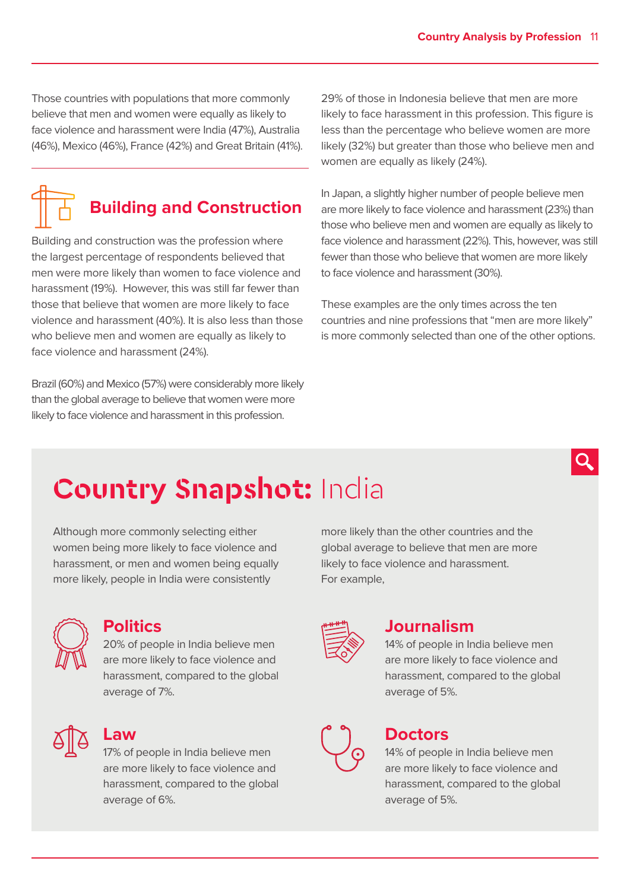Those countries with populations that more commonly believe that men and women were equally as likely to face violence and harassment were India (47%), Australia (46%), Mexico (46%), France (42%) and Great Britain (41%).

### **Building and Construction**

Building and construction was the profession where the largest percentage of respondents believed that men were more likely than women to face violence and harassment (19%). However, this was still far fewer than those that believe that women are more likely to face violence and harassment (40%). It is also less than those who believe men and women are equally as likely to face violence and harassment (24%).

Brazil (60%) and Mexico (57%) were considerably more likely than the global average to believe that women were more likely to face violence and harassment in this profession.

29% of those in Indonesia believe that men are more likely to face harassment in this profession. This figure is less than the percentage who believe women are more likely (32%) but greater than those who believe men and women are equally as likely (24%).

In Japan, a slightly higher number of people believe men are more likely to face violence and harassment (23%) than those who believe men and women are equally as likely to face violence and harassment (22%). This, however, was still fewer than those who believe that women are more likely to face violence and harassment (30%).

These examples are the only times across the ten countries and nine professions that "men are more likely" is more commonly selected than one of the other options.

## **Country Snapshot: India**

Although more commonly selecting either women being more likely to face violence and harassment, or men and women being equally more likely, people in India were consistently



#### **Politics**

20% of people in India believe men are more likely to face violence and harassment, compared to the global average of 7%.



#### **Law**

17% of people in India believe men are more likely to face violence and harassment, compared to the global average of 6%.

more likely than the other countries and the global average to believe that men are more likely to face violence and harassment. For example,



#### **Journalism**

14% of people in India believe men are more likely to face violence and harassment, compared to the global average of 5%.



#### **Doctors**

14% of people in India believe men are more likely to face violence and harassment, compared to the global average of 5%.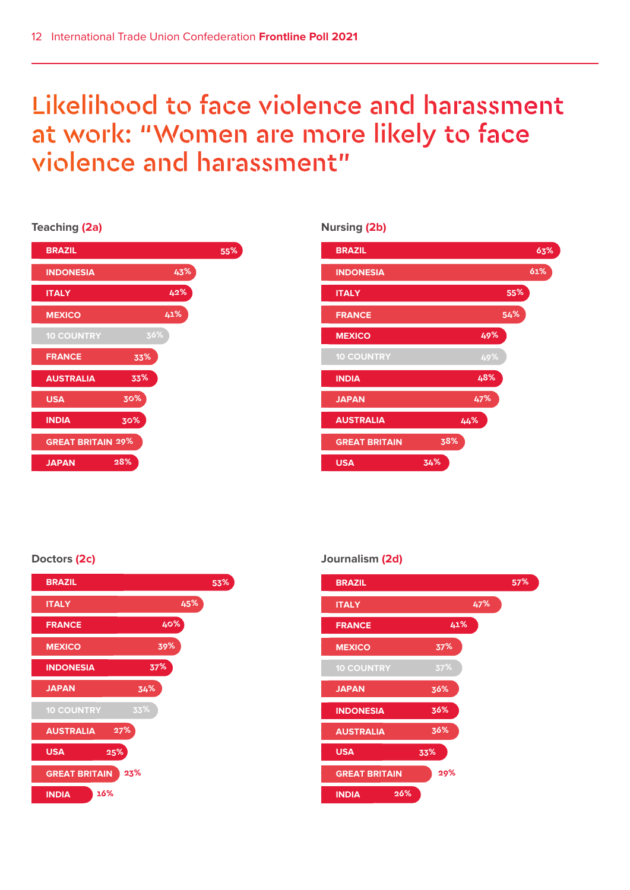### Likelihood to face violence and harassment at work: "Women are more likely to face violence and harassment"

#### **Teaching (2a)**

| <b>BRAZIL</b>            |     | 55% |
|--------------------------|-----|-----|
| <b>INDONESIA</b>         | 43% |     |
| <b>ITALY</b>             | 42% |     |
| <b>MEXICO</b>            | 41% |     |
| <b>10 COUNTRY</b>        | 36% |     |
| <b>FRANCE</b>            | 33% |     |
| <b>AUSTRALIA</b>         | 33% |     |
| <b>USA</b>               | 30% |     |
| <b>INDIA</b>             | 30% |     |
| <b>GREAT BRITAIN 29%</b> |     |     |
| <b>JAPAN</b>             | 28% |     |

#### **Nursing (2b)**



#### **Doctors (2c)**



#### **Journalism (2d)**

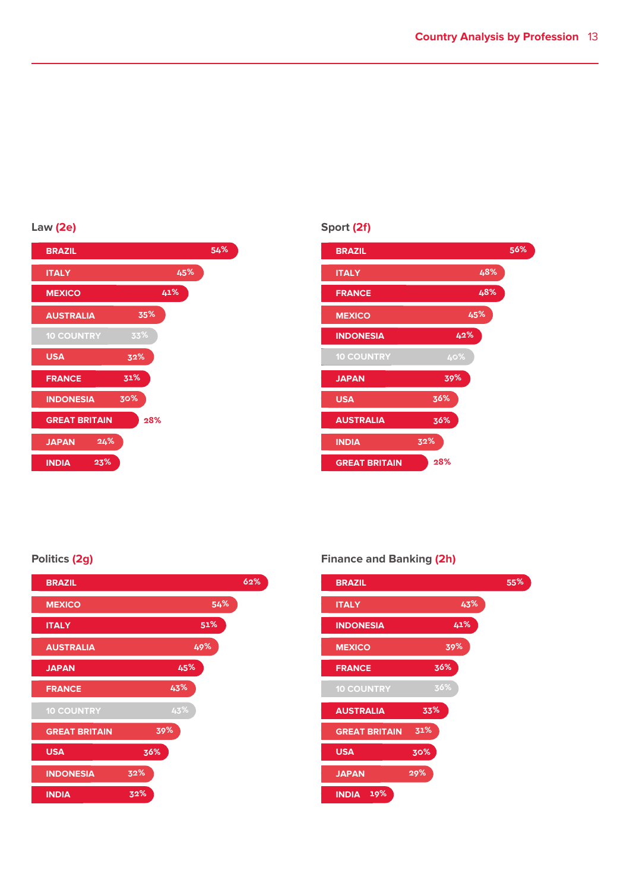#### **Law (2e)**



#### **Sport (2f)**



#### **Politics (2g)**



#### **Finance and Banking (2h)**

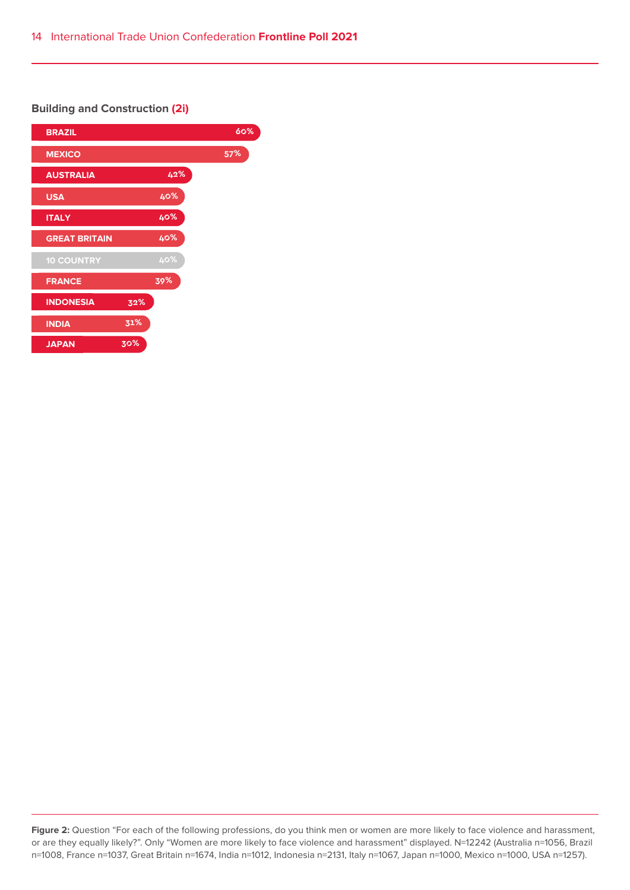#### **Building and Construction (2i)**



Figure 2: Question "For each of the following professions, do you think men or women are more likely to face violence and harassment, or are they equally likely?". Only "Women are more likely to face violence and harassment" displayed. N=12242 (Australia n=1056, Brazil n=1008, France n=1037, Great Britain n=1674, India n=1012, Indonesia n=2131, Italy n=1067, Japan n=1000, Mexico n=1000, USA n=1257).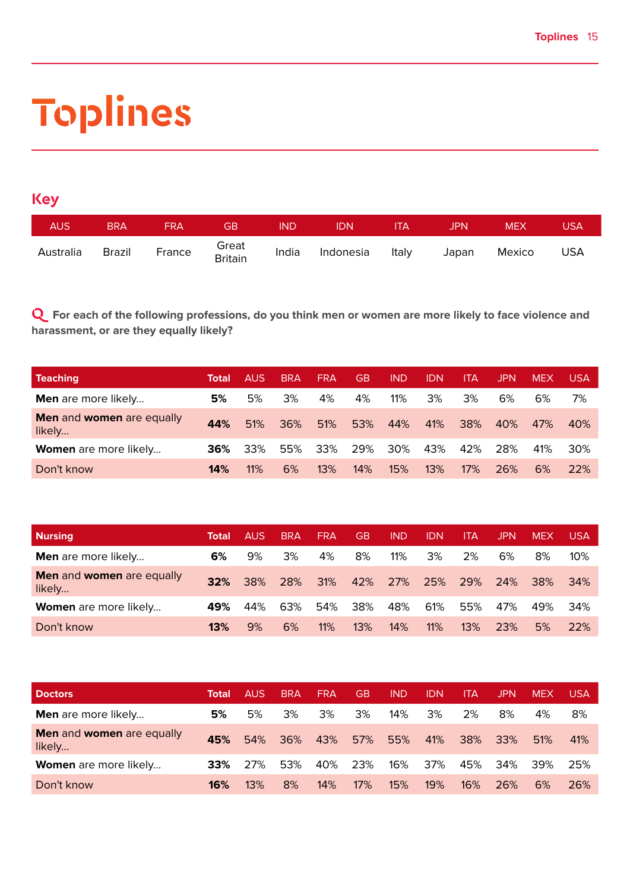# **Toplines**

#### **Key**

| <b>AUS</b> | <b>BRA</b> | <b>FRA</b> | <b>GB</b>        | <b>IND</b> | <b>IDN</b> | <b>ITA</b> | JPN.  | <b>MEX</b> | USA        |
|------------|------------|------------|------------------|------------|------------|------------|-------|------------|------------|
| Australia  | Brazil     | France     | Great<br>Britain | India      | Indonesia  | Italy      | Japan | Mexico     | <b>USA</b> |

**Q For each of the following professions, do you think men or women are more likely to face violence and harassment, or are they equally likely?**

| <b>Teaching</b>                                   | Total | AUS. | <b>BRA</b> | <b>FRA</b> | <b>GB</b> | <b>IND</b> | IDN | ITA | JPN | <b>MEX</b> | USA |
|---------------------------------------------------|-------|------|------------|------------|-----------|------------|-----|-----|-----|------------|-----|
| <b>Men</b> are more likely                        | 5%    | 5%   | 3%         | 4%         | 4%        | 11%        | 3%  | 3%  | 6%  | 6%         | 7%  |
| <b>Men</b> and <b>women</b> are equally<br>likely | 44%   | 51%  | 36%        | 51%        | 53%       | 44%        | 41% | 38% | 40% | 47%        | 40% |
| Women are more likely                             | 36%   | 33%  | 55%        | 33%        | 29%       | 30%        | 43% | 42% | 28% | 41%        | 30% |
| Don't know                                        | 14%   | 11%  | 6%         | 13%        | 14%       | 15%        | 13% | 17% | 26% | 6%         | 22% |

| <b>Nursing</b>                      | Total | AUS. | <b>BRA</b> | <b>FRA</b> | <b>GB</b> | <b>IND</b> | IDN | ITA | JPN | <b>MEX</b> | USA    |
|-------------------------------------|-------|------|------------|------------|-----------|------------|-----|-----|-----|------------|--------|
| <b>Men</b> are more likely          | 6%    | 9%   | 3%         | 4%         | 8%        | 11%        | 3%  | 2%  | 6%  | 8%         | $10\%$ |
| Men and women are equally<br>likely | 32%   | 38%  | 28%        | 31%        | 42%       | 27%        | 25% | 29% | 24% | 38%        | -34%   |
| Women are more likely               | 49%   | 44%  | 63%        | 54%        | 38%       | 48%        | 61% | 55% | 47% | 49%        | 34%    |
| Don't know                          | 13%   | 9%   | 6%         | 11%        | 13%       | 14%        | 11% | 13% | 23% | 5%         | 22%    |

| <b>Doctors</b>                      | Total | <b>AUS</b> | <b>BRA</b> | <b>FRA</b> | <b>GB</b> | <b>IND</b> | IDN | ITA. | JPN | <b>MEX</b> | <b>USA</b> |
|-------------------------------------|-------|------------|------------|------------|-----------|------------|-----|------|-----|------------|------------|
| <b>Men</b> are more likely          | 5%    | 5%         | 3%         | 3%         | 3%        | 14%        | 3%  | 2%   | 8%  | 4%         | 8%         |
| Men and women are equally<br>likely | 45%   | 54%        | 36%        | 43%        | 57%       | 55%        | 41% | 38%  | 33% | 51%        | 41%        |
| Women are more likely               | 33%   | 27%        | 53%        | 40%        | 23%       | 16%        | 37% | 45%  | 34% | 39%        | 25%        |
| Don't know                          | 16%   | 13%        | 8%         | 14%        | 17%       | 15%        | 19% | 16%  | 26% | 6%         | 26%        |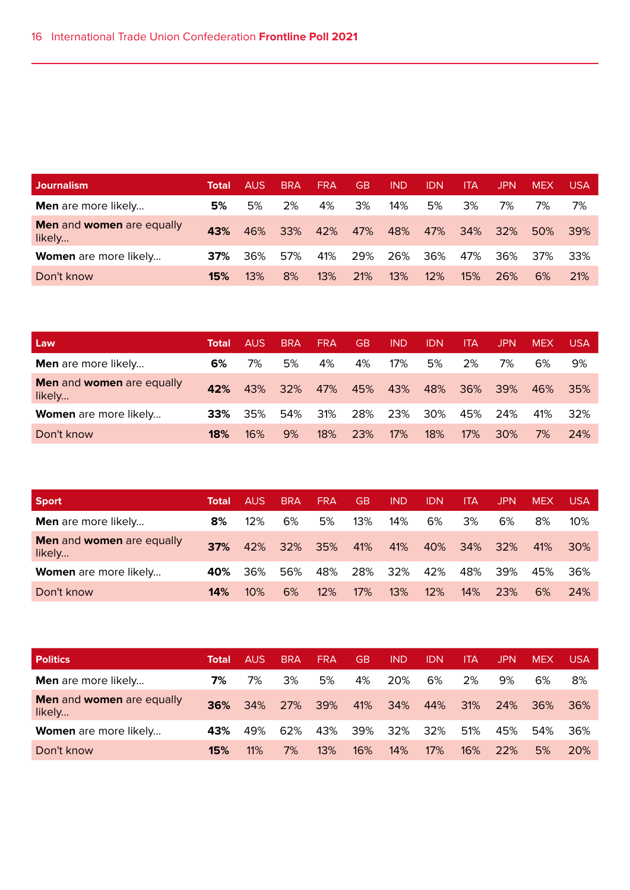| <b>Journalism</b>                   | Total | AUS | <b>BRA</b> | <b>FRA</b> | GB  | <b>IND</b> | <b>IDN</b> | ITA | JPN | <b>MEX</b> | USA             |
|-------------------------------------|-------|-----|------------|------------|-----|------------|------------|-----|-----|------------|-----------------|
| <b>Men</b> are more likely          | 5%    | 5%  | 2%         | 4%         | 3%  | 14%        | 5%         | 3%  | 7%  | 7%         | 7%              |
| Men and women are equally<br>likely | 43%   | 46% | 33%        | 42%        | 47% | 48%        | 47%        | 34% | 32% | 50%        | 39 <sup>%</sup> |
| Women are more likely               | 37%   | 36% | 57%        | 41%        | 29% | 26%        | 36%        | 47% | 36% | 37%        | 33%             |
| Don't know                          | 15%   | 13% | 8%         | 13%        | 21% | 13%        | 12%        | 15% | 26% | 6%         | <b>21%</b>      |

| Law                                        | Total | AUS. | <b>BRA</b> | <b>FRA</b> | <b>GB</b> | IND | IDN | ITA | JPN | <b>MEX</b> | <b>USA</b> |
|--------------------------------------------|-------|------|------------|------------|-----------|-----|-----|-----|-----|------------|------------|
| <b>Men</b> are more likely                 | 6%    | 7%   | 5%         | 4%         | 4%        | 17% | 5%  | 2%  | 7%  | 6%         | 9%         |
| <b>Men and women are equally</b><br>likely | 42%   | 43%  | 32%        | 47%        | 45%       | 43% | 48% | 36% | 39% | 46%        | 35%        |
| Women are more likely                      | 33%   | 35%  | 54%        | 31%        | 28%       | 23% | 30% | 45% | 24% | 41%        | 32%        |
| Don't know                                 | 18%   | 16%  | 9%         | 18%        | 23%       | 17% | 18% | 17% | 30% | 7%         | 24%        |

| <b>Sport</b>                        | Total | <b>AUS</b> | <b>BRA</b> | <b>FRA</b> | GB  | <b>IND</b> | IDN | ITA | JPN | <b>MEX</b> | <b>USA</b>      |
|-------------------------------------|-------|------------|------------|------------|-----|------------|-----|-----|-----|------------|-----------------|
| <b>Men</b> are more likely          | 8%    | 12%        | 6%         | 5%         | 13% | 14%        | 6%  | 3%  | 6%  | 8%         | 10%             |
| Men and women are equally<br>likely | 37%   | 42%        | 32%        | 35%        | 41% | 41%        | 40% | 34% | 32% | 41%        | 30 <sup>%</sup> |
| <b>Women</b> are more likely        | 40%   | 36%        | 56%        | 48%        | 28% | 32%        | 42% | 48% | 39% | 45%        | 36%             |
| Don't know                          | 14%   | 10%        | 6%         | 12%        | 17% | 13%        | 12% | 14% | 23% | 6%         | 24%             |

| <b>Politics</b>                     | Total | <b>AUS</b> | <b>BRA</b> | <b>FRA</b> | GB  | <b>IND</b> | idn | ITA | <b>JPN</b> | <b>MEX</b> | USA        |
|-------------------------------------|-------|------------|------------|------------|-----|------------|-----|-----|------------|------------|------------|
| <b>Men</b> are more likely          | 7%    | 7%         | 3%         | 5%         | 4%  | 20%        | 6%  | 2%  | 9%         | 6%         | 8%         |
| Men and women are equally<br>likely | 36%   | 34%        | 27%        | 39%        | 41% | 34%        | 44% | 31% | 24%        | 36%        | 36%        |
| Women are more likely               | 43%   | 49%        | 62%        | 43%        | 39% | 32%        | 32% | 51% | 45%        | 54%        | 36%        |
| Don't know                          | 15%   | 11%        | 7%         | 13%        | 16% | 14%        | 17% | 16% | 22%        | 5%         | <b>20%</b> |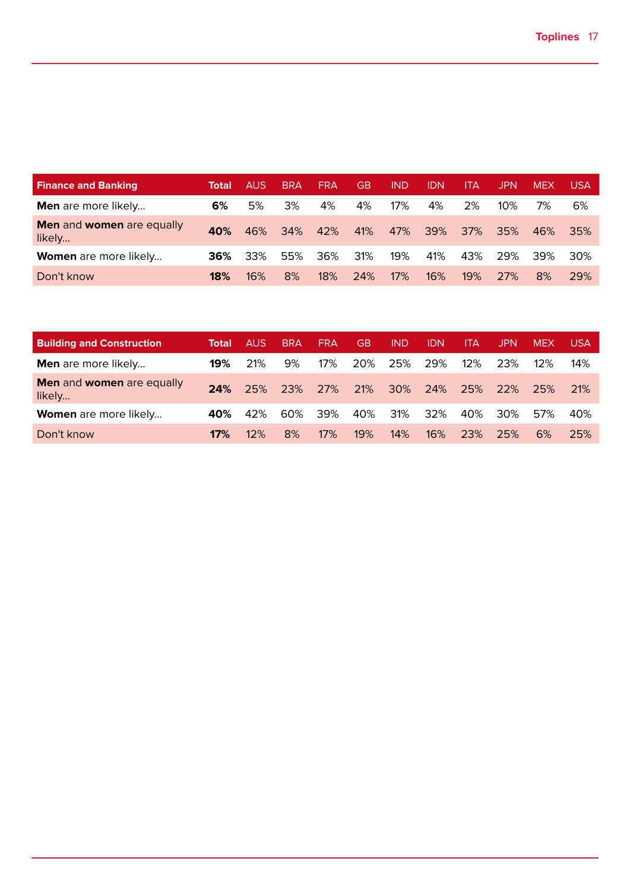| <b>Finance and Banking</b>                 | Total | AUS | <b>BRA</b> | <b>FRA</b> | GB  | <b>IND</b> | idn | ITA | JPN    | <b>MEX</b> | USA |
|--------------------------------------------|-------|-----|------------|------------|-----|------------|-----|-----|--------|------------|-----|
| Men are more likely                        | 6%    | 5%  | 3%         | 4%         | 4%  | 17%        | 4%  | 2%  | $10\%$ | 7%         | 6%  |
| <b>Men and women are equally</b><br>likely | 40%   | 46% | 34%        | 42%        | 41% | 47%        | 39% | 37% | 35%    | 46%        | 35% |
| Women are more likely                      | 36%   | 33% | 55%        | 36%        | 31% | 19%        | 41% | 43% | 29%    | 39%        | 30% |
| Don't know                                 | 18%   | 16% | 8%         | 18%        | 24% | 17%        | 16% | 19% | 27%    | 8%         | 29% |

| <b>Building and Construction</b>    | Total | AUS. | <b>BRA</b> | <b>FRA</b> | <b>GB</b> | <b>IND</b> | <b>IDN</b> | ITA | JPN | <b>MEX</b> | USA        |
|-------------------------------------|-------|------|------------|------------|-----------|------------|------------|-----|-----|------------|------------|
| <b>Men</b> are more likely          | 19%   | 21%  | 9%         | $17\%$     | 20%       | 25%        | 29%        | 12% | 23% | 12%        | 14%        |
| Men and women are equally<br>likely | 24%   | 25%  | 23%        | 27%        | 21%       | 30%        | 24%        | 25% | 22% | 25%        | <b>21%</b> |
| Women are more likely               | 40%   | 42%  | 60%        | 39%        | 40%       | 31%        | 32%        | 40% | 30% | 57%        | 40%        |
| Don't know                          | 17%   | 12%  | 8%         | 17%        | 19%       | 14%        | 16%        | 23% | 25% | 6%         | 25%        |